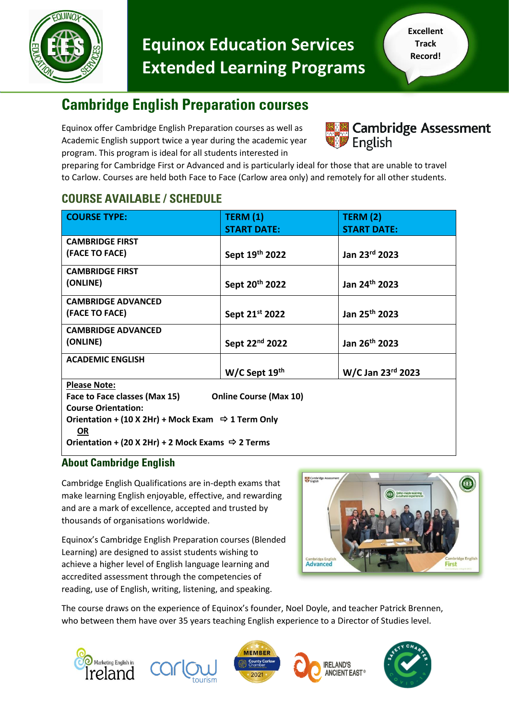

# **Equinox Education Services Extended Learning Programs**

## **Cambridge English Preparation courses**

Equinox offer Cambridge English Preparation courses as well as Academic English support twice a year during the academic year program. This program is ideal for all students interested in



preparing for Cambridge First or Advanced and is particularly ideal for those that are unable to travel to Carlow. Courses are held both Face to Face (Carlow area only) and remotely for all other students.

### **COURSE AVAILABLE / SCHEDULE**

| <b>COURSE TYPE:</b>                                                         | <b>TERM (1)</b>               | TERM(2)                   |
|-----------------------------------------------------------------------------|-------------------------------|---------------------------|
|                                                                             | <b>START DATE:</b>            | <b>START DATE:</b>        |
| <b>CAMBRIDGE FIRST</b>                                                      |                               |                           |
| (FACE TO FACE)                                                              | Sept 19th 2022                | Jan 23rd 2023             |
| <b>CAMBRIDGE FIRST</b>                                                      |                               |                           |
| (ONLINE)                                                                    | Sept 20 <sup>th</sup> 2022    | Jan 24th 2023             |
| <b>CAMBRIDGE ADVANCED</b>                                                   |                               |                           |
| (FACE TO FACE)                                                              | Sept 21 <sup>st</sup> 2022    | Jan 25 <sup>th</sup> 2023 |
| <b>CAMBRIDGE ADVANCED</b>                                                   |                               |                           |
| (ONLINE)                                                                    | Sept 22 <sup>nd</sup> 2022    | Jan 26 <sup>th</sup> 2023 |
| <b>ACADEMIC ENGLISH</b>                                                     |                               |                           |
|                                                                             | W/C Sept 19th                 | W/C Jan 23rd 2023         |
| <b>Please Note:</b>                                                         |                               |                           |
| Face to Face classes (Max 15)                                               | <b>Online Course (Max 10)</b> |                           |
| <b>Course Orientation:</b>                                                  |                               |                           |
| Orientation + (10 X 2Hr) + Mock Exam $\Rightarrow$ 1 Term Only<br><b>OR</b> |                               |                           |
| Orientation + (20 X 2Hr) + 2 Mock Exams $\Rightarrow$ 2 Terms               |                               |                           |

#### **About Cambridge English**

Cambridge English Qualifications are in-depth exams that make learning English enjoyable, effective, and rewarding and are a mark of excellence, accepted and trusted by thousands of organisations worldwide.

Equinox's Cambridge English Preparation courses (Blended Learning) are designed to assist students wishing to achieve a higher level of English language learning and accredited assessment through the competencies of reading, use of English, writing, listening, and speaking.



The course draws on the experience of Equinox's founder, Noel Doyle, and teacher Patrick Brennen, who between them have over 35 years teaching English experience to a Director of Studies level.









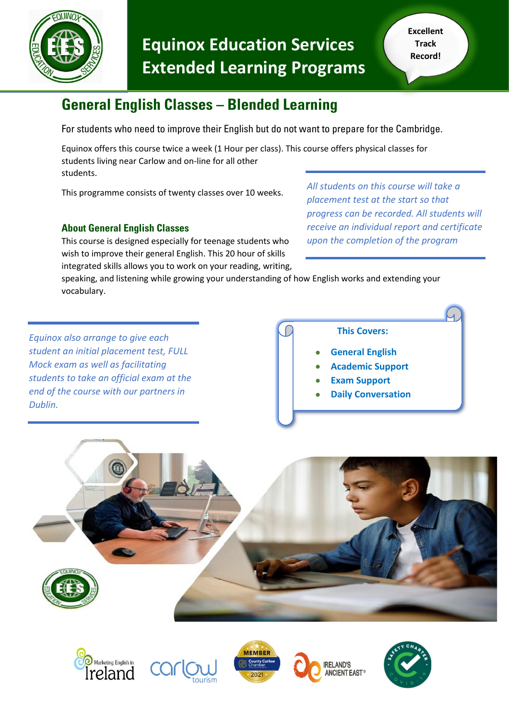

# **Equinox Education Services Extended Learning Programs**

# **General English Classes – Blended Learning**

For students who need to improve their English but do not want to prepare for the Cambridge.

Equinox offers this course twice a week (1 Hour per class). This course offers physical classes for students living near Carlow and on-line for all other students.

This programme consists of twenty classes over 10 weeks.

### **About General English Classes**

This course is designed especially for teenage students who wish to improve their general English. This 20 hour of skills integrated skills allows you to work on your reading, writing, *All students on this course will take a placement test at the start so that progress can be recorded. All students will receive an individual report and certificate upon the completion of the program* 

speaking, and listening while growing your understanding of how English works and extending your vocabulary.

*Equinox also arrange to give each student an initial placement test, FULL Mock exam as well as facilitating students to take an official exam at the end of the course with our partners in Dublin.* 

 **This Covers:**

- **General English**
- **Academic Support**
- **Exam Support**
- **Daily Conversation**